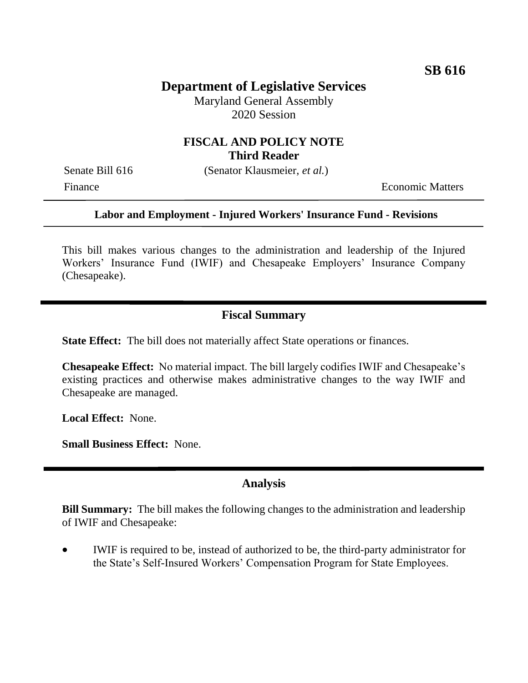# **Department of Legislative Services**

Maryland General Assembly 2020 Session

## **FISCAL AND POLICY NOTE Third Reader**

Senate Bill 616 (Senator Klausmeier, *et al.*)

Finance **Exercífical Economic Matters** 

#### **Labor and Employment - Injured Workers' Insurance Fund - Revisions**

This bill makes various changes to the administration and leadership of the Injured Workers' Insurance Fund (IWIF) and Chesapeake Employers' Insurance Company (Chesapeake).

### **Fiscal Summary**

**State Effect:** The bill does not materially affect State operations or finances.

**Chesapeake Effect:** No material impact. The bill largely codifies IWIF and Chesapeake's existing practices and otherwise makes administrative changes to the way IWIF and Chesapeake are managed.

**Local Effect:** None.

**Small Business Effect:** None.

#### **Analysis**

**Bill Summary:** The bill makes the following changes to the administration and leadership of IWIF and Chesapeake:

 IWIF is required to be, instead of authorized to be, the third-party administrator for the State's Self-Insured Workers' Compensation Program for State Employees.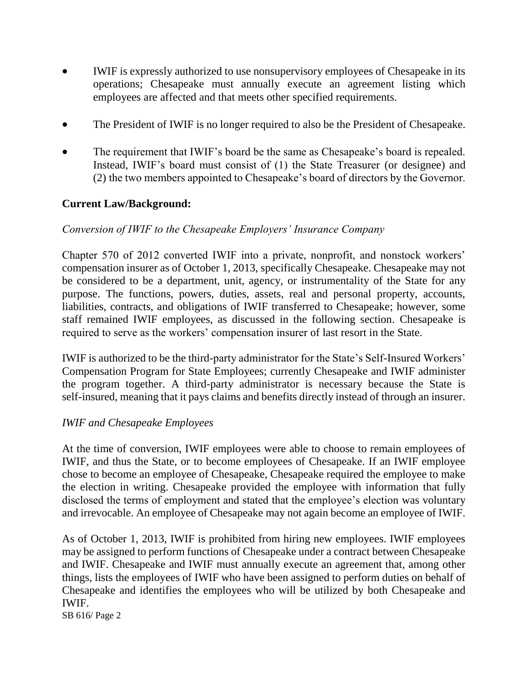- IWIF is expressly authorized to use nonsupervisory employees of Chesapeake in its operations; Chesapeake must annually execute an agreement listing which employees are affected and that meets other specified requirements.
- The President of IWIF is no longer required to also be the President of Chesapeake.
- The requirement that IWIF's board be the same as Chesapeake's board is repealed. Instead, IWIF's board must consist of (1) the State Treasurer (or designee) and (2) the two members appointed to Chesapeake's board of directors by the Governor.

### **Current Law/Background:**

### *Conversion of IWIF to the Chesapeake Employers' Insurance Company*

Chapter 570 of 2012 converted IWIF into a private, nonprofit, and nonstock workers' compensation insurer as of October 1, 2013, specifically Chesapeake. Chesapeake may not be considered to be a department, unit, agency, or instrumentality of the State for any purpose. The functions, powers, duties, assets, real and personal property, accounts, liabilities, contracts, and obligations of IWIF transferred to Chesapeake; however, some staff remained IWIF employees, as discussed in the following section. Chesapeake is required to serve as the workers' compensation insurer of last resort in the State.

IWIF is authorized to be the third-party administrator for the State's Self-Insured Workers' Compensation Program for State Employees; currently Chesapeake and IWIF administer the program together. A third-party administrator is necessary because the State is self-insured, meaning that it pays claims and benefits directly instead of through an insurer.

#### *IWIF and Chesapeake Employees*

At the time of conversion, IWIF employees were able to choose to remain employees of IWIF, and thus the State, or to become employees of Chesapeake. If an IWIF employee chose to become an employee of Chesapeake, Chesapeake required the employee to make the election in writing. Chesapeake provided the employee with information that fully disclosed the terms of employment and stated that the employee's election was voluntary and irrevocable. An employee of Chesapeake may not again become an employee of IWIF.

As of October 1, 2013, IWIF is prohibited from hiring new employees. IWIF employees may be assigned to perform functions of Chesapeake under a contract between Chesapeake and IWIF. Chesapeake and IWIF must annually execute an agreement that, among other things, lists the employees of IWIF who have been assigned to perform duties on behalf of Chesapeake and identifies the employees who will be utilized by both Chesapeake and IWIF.

SB 616/ Page 2